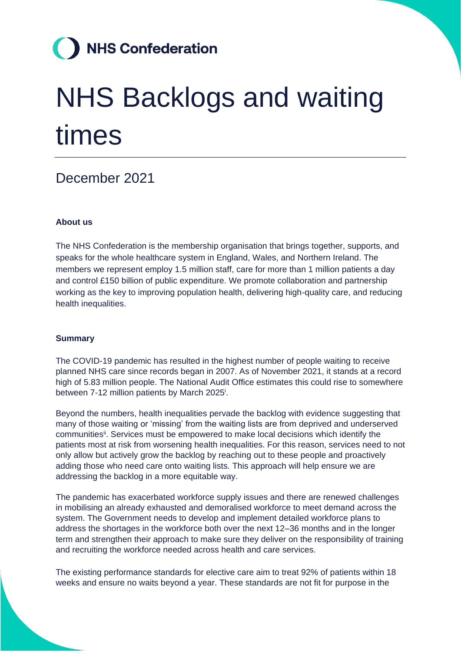## **NHS Confederation**

# NHS Backlogs and waiting times

### December 2021

#### **About us**

The NHS Confederation is the membership organisation that brings together, supports, and speaks for the whole healthcare system in England, Wales, and Northern Ireland. The members we represent employ 1.5 million staff, care for more than 1 million patients a day and control £150 billion of public expenditure. We promote collaboration and partnership working as the key to improving population health, delivering high-quality care, and reducing health inequalities.

#### **Summary**

The COVID-19 pandemic has resulted in the highest number of people waiting to receive planned NHS care since records began in 2007. As of November 2021, it stands at a record high of 5.83 million people. The National Audit Office estimates this could rise to somewhere between 7-12 million patients by March 2025<sup>i</sup>.

Beyond the numbers, health inequalities pervade the backlog with evidence suggesting that many of those waiting or 'missing' from the waiting lists are from deprived and underserved communitiesii. Services must be empowered to make local decisions which identify the patients most at risk from worsening health inequalities. For this reason, services need to not only allow but actively grow the backlog by reaching out to these people and proactively adding those who need care onto waiting lists. This approach will help ensure we are addressing the backlog in a more equitable way.

The pandemic has exacerbated workforce supply issues and there are renewed challenges in mobilising an already exhausted and demoralised workforce to meet demand across the system. The Government needs to develop and implement detailed workforce plans to address the shortages in the workforce both over the next 12–36 months and in the longer term and strengthen their approach to make sure they deliver on the responsibility of training and recruiting the workforce needed across health and care services.

The existing performance standards for elective care aim to treat 92% of patients within 18 weeks and ensure no waits beyond a year. These standards are not fit for purpose in the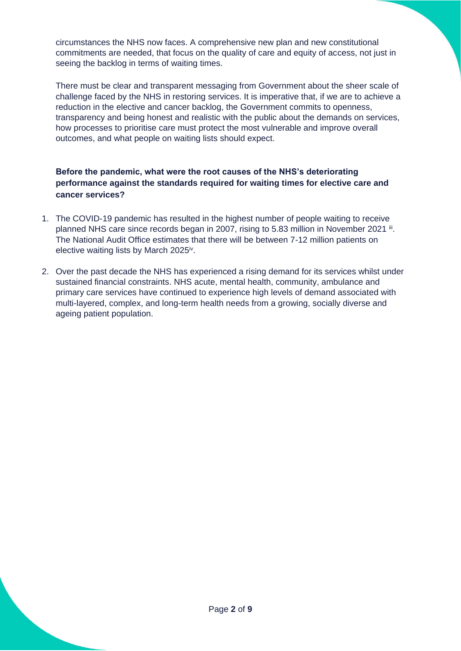circumstances the NHS now faces. A comprehensive new plan and new constitutional commitments are needed, that focus on the quality of care and equity of access, not just in seeing the backlog in terms of waiting times.

There must be clear and transparent messaging from Government about the sheer scale of challenge faced by the NHS in restoring services. It is imperative that, if we are to achieve a reduction in the elective and cancer backlog, the Government commits to openness, transparency and being honest and realistic with the public about the demands on services, how processes to prioritise care must protect the most vulnerable and improve overall outcomes, and what people on waiting lists should expect.

#### **Before the pandemic, what were the root causes of the NHS's deteriorating performance against the standards required for waiting times for elective care and cancer services?**

- 1. The COVID-19 pandemic has resulted in the highest number of people waiting to receive planned NHS care since records began in 2007, rising to 5.83 million in November 2021 ii. The National Audit Office estimates that there will be between 7-12 million patients on elective waiting lists by March 2025<sup>iv</sup>.
- 2. Over the past decade the NHS has experienced a rising demand for its services whilst under sustained financial constraints. NHS acute, mental health, community, ambulance and primary care services have continued to experience high levels of demand associated with multi-layered, complex, and long-term health needs from a growing, socially diverse and ageing patient population.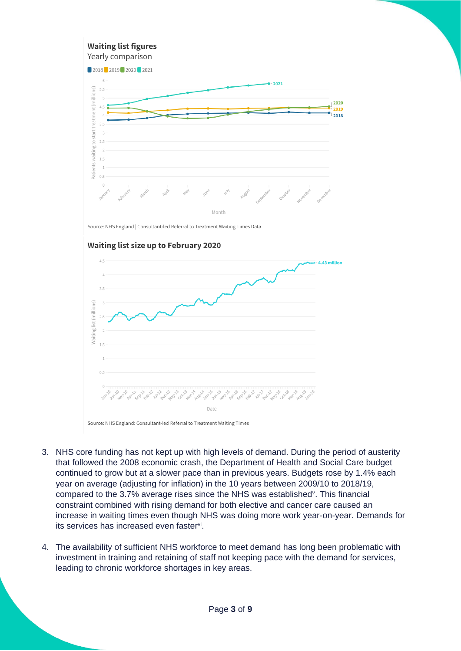#### **Waiting list figures** Yearly comparison



Source: NHS England | Consultant-led Referral to Treatment Waiting Times Data



#### **Waiting list size up to February 2020**

Source: NHS England: Consultant-led Referral to Treatment Waiting Times

- 3. NHS core funding has not kept up with high levels of demand. During the period of austerity that followed the 2008 economic crash, the Department of Health and Social Care budget continued to grow but at a slower pace than in previous years. Budgets rose by 1.4% each year on average (adjusting for inflation) in the 10 years between 2009/10 to 2018/19, compared to the 3.7% average rises since the NHS was established<sup>y</sup>. This financial constraint combined with rising demand for both elective and cancer care caused an increase in waiting times even though NHS was doing more work year-on-year. Demands for its services has increased even faster<sup>vi</sup>.
- 4. The availability of sufficient NHS workforce to meet demand has long been problematic with investment in training and retaining of staff not keeping pace with the demand for services, leading to chronic workforce shortages in key areas.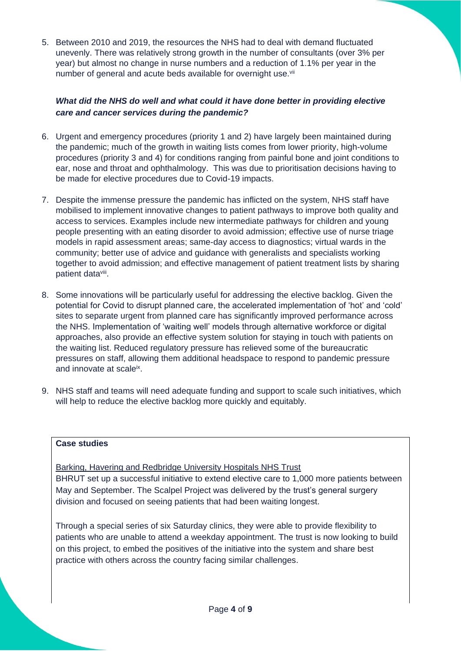5. Between 2010 and 2019, the resources the NHS had to deal with demand fluctuated unevenly. There was relatively strong growth in the number of consultants (over 3% per year) but almost no change in nurse numbers and a reduction of 1.1% per year in the number of general and acute beds available for overnight use.<sup>vii</sup>

#### *What did the NHS do well and what could it have done better in providing elective care and cancer services during the pandemic?*

- 6. Urgent and emergency procedures (priority 1 and 2) have largely been maintained during the pandemic; much of the growth in waiting lists comes from lower priority, high-volume procedures (priority 3 and 4) for conditions ranging from painful bone and joint conditions to ear, nose and throat and ophthalmology. This was due to prioritisation decisions having to be made for elective procedures due to Covid-19 impacts.
- 7. Despite the immense pressure the pandemic has inflicted on the system, NHS staff have mobilised to implement innovative changes to patient pathways to improve both quality and access to services. Examples include new intermediate pathways for children and young people presenting with an eating disorder to avoid admission; effective use of nurse triage models in rapid assessment areas; same-day access to diagnostics; virtual wards in the community; better use of advice and guidance with generalists and specialists working together to avoid admission; and effective management of patient treatment lists by sharing patient data<sup>viii</sup>.
- 8. Some innovations will be particularly useful for addressing the elective backlog. Given the potential for Covid to disrupt planned care, the accelerated implementation of 'hot' and 'cold' sites to separate urgent from planned care has significantly improved performance across the NHS. Implementation of 'waiting well' models through alternative workforce or digital approaches, also provide an effective system solution for staying in touch with patients on the waiting list. Reduced regulatory pressure has relieved some of the bureaucratic pressures on staff, allowing them additional headspace to respond to pandemic pressure and innovate at scaleix.
- 9. NHS staff and teams will need adequate funding and support to scale such initiatives, which will help to reduce the elective backlog more quickly and equitably.

#### **Case studies**

Barking, Havering and Redbridge University Hospitals NHS Trust

BHRUT set up a successful initiative to extend elective care to 1,000 more patients between May and September. The Scalpel Project was delivered by the trust's general surgery division and focused on seeing patients that had been waiting longest.

Through a special series of six Saturday clinics, they were able to provide flexibility to patients who are unable to attend a weekday appointment. The trust is now looking to build on this project, to embed the positives of the initiative into the system and share best practice with others across the country facing similar challenges.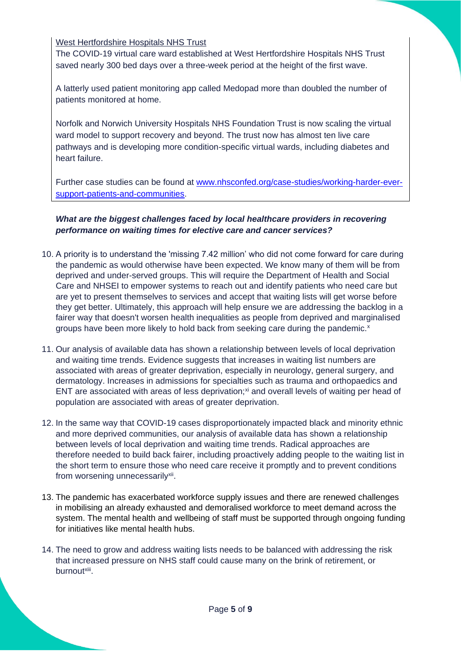West Hertfordshire Hospitals NHS Trust

The COVID-19 virtual care ward established at West Hertfordshire Hospitals NHS Trust saved nearly 300 bed days over a three-week period at the height of the first wave.

A latterly used patient monitoring app called Medopad more than doubled the number of patients monitored at home.

Norfolk and Norwich University Hospitals NHS Foundation Trust is now scaling the virtual ward model to support recovery and beyond. The trust now has almost ten live care pathways and is developing more condition-specific virtual wards, including diabetes and heart failure.

Further case studies can be found at [www.nhsconfed.org/case-studies/working-harder-ever](http://www.nhsconfed.org/case-studies/working-harder-ever-support-patients-and-communities)[support-patients-and-communities.](http://www.nhsconfed.org/case-studies/working-harder-ever-support-patients-and-communities)

*What are the biggest challenges faced by local healthcare providers in recovering performance on waiting times for elective care and cancer services?*

- 10. A priority is to understand the 'missing 7.42 million' who did not come forward for care during the pandemic as would otherwise have been expected. We know many of them will be from deprived and under-served groups. This will require the Department of Health and Social Care and NHSEI to empower systems to reach out and identify patients who need care but are yet to present themselves to services and accept that waiting lists will get worse before they get better. Ultimately, this approach will help ensure we are addressing the backlog in a fairer way that doesn't worsen health inequalities as people from deprived and marginalised groups have been more likely to hold back from seeking care during the pandemic.<sup>x</sup>
- 11. Our analysis of available data has shown a relationship between levels of local deprivation and waiting time trends. Evidence suggests that increases in waiting list numbers are associated with areas of greater deprivation, especially in neurology, general surgery, and dermatology. Increases in admissions for specialties such as trauma and orthopaedics and ENT are associated with areas of less deprivation;<sup>xi</sup> and overall levels of waiting per head of population are associated with areas of greater deprivation.
- 12. In the same way that COVID-19 cases disproportionately impacted black and minority ethnic and more deprived communities, our analysis of available data has shown a relationship between levels of local deprivation and waiting time trends. Radical approaches are therefore needed to build back fairer, including proactively adding people to the waiting list in the short term to ensure those who need care receive it promptly and to prevent conditions from worsening unnecessarily<sup>xii</sup>.
- 13. The pandemic has exacerbated workforce supply issues and there are renewed challenges in mobilising an already exhausted and demoralised workforce to meet demand across the system. The mental health and wellbeing of staff must be supported through ongoing funding for initiatives like mental health hubs.
- 14. The need to grow and address waiting lists needs to be balanced with addressing the risk that increased pressure on NHS staff could cause many on the brink of retirement, or burnoutxiii.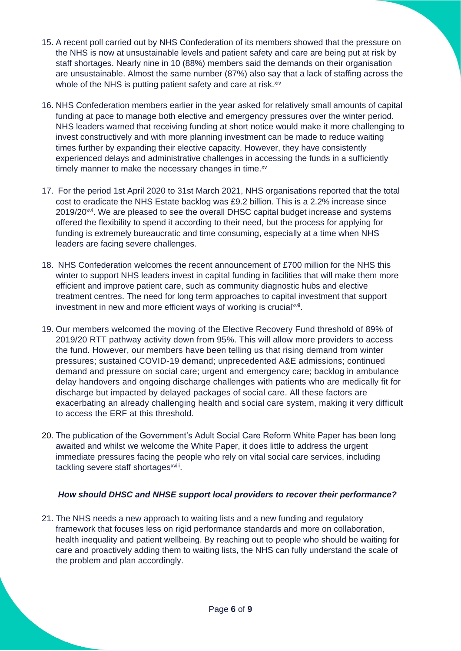- 15. A recent poll carried out by NHS Confederation of its members showed that the pressure on the NHS is now at unsustainable levels and patient safety and care are being put at risk by staff shortages. Nearly nine in 10 (88%) members said the demands on their organisation are unsustainable. Almost the same number (87%) also say that a lack of staffing across the whole of the NHS is putting patient safety and care at risk.<sup>xiv</sup>
- 16. NHS Confederation members earlier in the year asked for relatively small amounts of capital funding at pace to manage both elective and emergency pressures over the winter period. NHS leaders warned that receiving funding at short notice would make it more challenging to invest constructively and with more planning investment can be made to reduce waiting times further by expanding their elective capacity. However, they have consistently experienced delays and administrative challenges in accessing the funds in a sufficiently timely manner to make the necessary changes in time. $x<sup>y</sup>$
- 17. For the period 1st April 2020 to 31st March 2021, NHS organisations reported that the total cost to eradicate the NHS Estate backlog was £9.2 billion. This is a 2.2% increase since 2019/20<sup>xvi</sup>. We are pleased to see the overall DHSC capital budget increase and systems offered the flexibility to spend it according to their need, but the process for applying for funding is extremely bureaucratic and time consuming, especially at a time when NHS leaders are facing severe challenges.
- 18. NHS Confederation welcomes the recent announcement of £700 million for the NHS this winter to support NHS leaders invest in capital funding in facilities that will make them more efficient and improve patient care, such as community diagnostic hubs and elective treatment centres. The need for long term approaches to capital investment that support investment in new and more efficient ways of working is crucial<sup>xvii</sup>.
- 19. Our members welcomed the moving of the Elective Recovery Fund threshold of 89% of 2019/20 RTT pathway activity down from 95%. This will allow more providers to access the fund. However, our members have been telling us that rising demand from winter pressures; sustained COVID-19 demand; unprecedented A&E admissions; continued demand and pressure on social care; urgent and emergency care; backlog in ambulance delay handovers and ongoing discharge challenges with patients who are medically fit for discharge but impacted by delayed packages of social care. All these factors are exacerbating an already challenging health and social care system, making it very difficult to access the ERF at this threshold.
- 20. The publication of the Government's Adult Social Care Reform White Paper has been long awaited and whilst we welcome the White Paper, it does little to address the urgent immediate pressures facing the people who rely on vital social care services, including tackling severe staff shortages<sup>xviii</sup>.

#### *How should DHSC and NHSE support local providers to recover their performance?*

21. The NHS needs a new approach to waiting lists and a new funding and regulatory framework that focuses less on rigid performance standards and more on collaboration, health inequality and patient wellbeing. By reaching out to people who should be waiting for care and proactively adding them to waiting lists, the NHS can fully understand the scale of the problem and plan accordingly.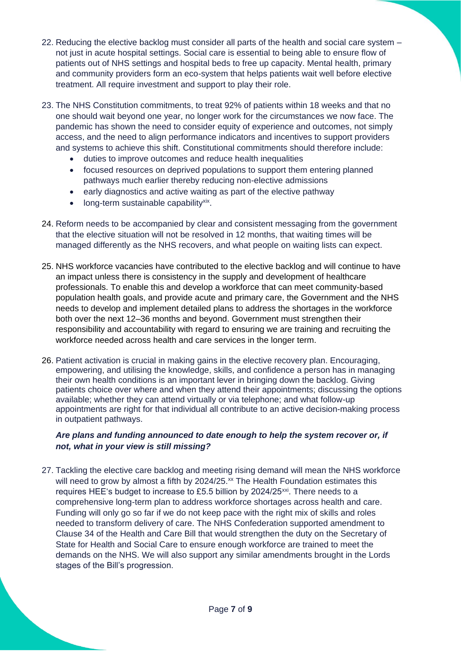- 22. Reducing the elective backlog must consider all parts of the health and social care system not just in acute hospital settings. Social care is essential to being able to ensure flow of patients out of NHS settings and hospital beds to free up capacity. Mental health, primary and community providers form an eco-system that helps patients wait well before elective treatment. All require investment and support to play their role.
- 23. The NHS Constitution commitments, to treat 92% of patients within 18 weeks and that no one should wait beyond one year, no longer work for the circumstances we now face. The pandemic has shown the need to consider equity of experience and outcomes, not simply access, and the need to align performance indicators and incentives to support providers and systems to achieve this shift. Constitutional commitments should therefore include:
	- duties to improve outcomes and reduce health inequalities
	- focused resources on deprived populations to support them entering planned pathways much earlier thereby reducing non-elective admissions
	- early diagnostics and active waiting as part of the elective pathway
	- long-term sustainable capability<sup>xix</sup>.
- 24. Reform needs to be accompanied by clear and consistent messaging from the government that the elective situation will not be resolved in 12 months, that waiting times will be managed differently as the NHS recovers, and what people on waiting lists can expect.
- 25. NHS workforce vacancies have contributed to the elective backlog and will continue to have an impact unless there is consistency in the supply and development of healthcare professionals. To enable this and develop a workforce that can meet community-based population health goals, and provide acute and primary care, the Government and the NHS needs to develop and implement detailed plans to address the shortages in the workforce both over the next 12–36 months and beyond. Government must strengthen their responsibility and accountability with regard to ensuring we are training and recruiting the workforce needed across health and care services in the longer term.
- 26. Patient activation is crucial in making gains in the elective recovery plan. Encouraging, empowering, and utilising the knowledge, skills, and confidence a person has in managing their own health conditions is an important lever in bringing down the backlog. Giving patients choice over where and when they attend their appointments; discussing the options available; whether they can attend virtually or via telephone; and what follow-up appointments are right for that individual all contribute to an active decision-making process in outpatient pathways.

#### *Are plans and funding announced to date enough to help the system recover or, if not, what in your view is still missing?*

27. Tackling the elective care backlog and meeting rising demand will mean the NHS workforce will need to grow by almost a fifth by 2024/25.<sup>xx</sup> The Health Foundation estimates this requires HEE's budget to increase to £5.5 billion by 2024/25<sup>xxi</sup>. There needs to a comprehensive long-term plan to address workforce shortages across health and care. Funding will only go so far if we do not keep pace with the right mix of skills and roles needed to transform delivery of care. The NHS Confederation supported amendment to Clause 34 of the Health and Care Bill that would strengthen the duty on the Secretary of State for Health and Social Care to ensure enough workforce are trained to meet the demands on the NHS. We will also support any similar amendments brought in the Lords stages of the Bill's progression.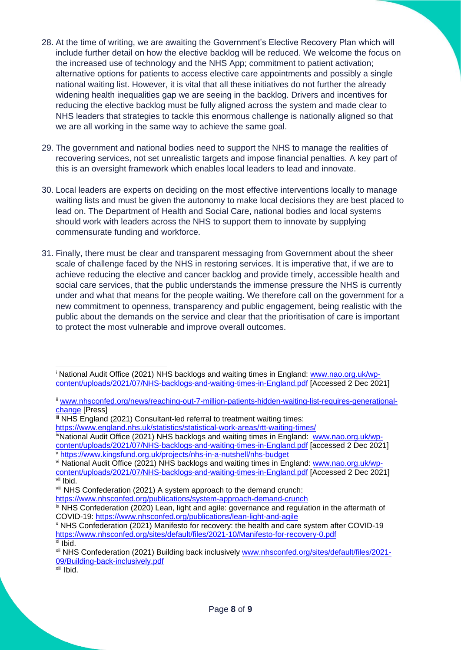- 28. At the time of writing, we are awaiting the Government's Elective Recovery Plan which will include further detail on how the elective backlog will be reduced. We welcome the focus on the increased use of technology and the NHS App; commitment to patient activation; alternative options for patients to access elective care appointments and possibly a single national waiting list. However, it is vital that all these initiatives do not further the already widening health inequalities gap we are seeing in the backlog. Drivers and incentives for reducing the elective backlog must be fully aligned across the system and made clear to NHS leaders that strategies to tackle this enormous challenge is nationally aligned so that we are all working in the same way to achieve the same goal.
- 29. The government and national bodies need to support the NHS to manage the realities of recovering services, not set unrealistic targets and impose financial penalties. A key part of this is an oversight framework which enables local leaders to lead and innovate.
- 30. Local leaders are experts on deciding on the most effective interventions locally to manage waiting lists and must be given the autonomy to make local decisions they are best placed to lead on. The Department of Health and Social Care, national bodies and local systems should work with leaders across the NHS to support them to innovate by supplying commensurate funding and workforce.
- 31. Finally, there must be clear and transparent messaging from Government about the sheer scale of challenge faced by the NHS in restoring services. It is imperative that, if we are to achieve reducing the elective and cancer backlog and provide timely, accessible health and social care services, that the public understands the immense pressure the NHS is currently under and what that means for the people waiting. We therefore call on the government for a new commitment to openness, transparency and public engagement, being realistic with the public about the demands on the service and clear that the prioritisation of care is important to protect the most vulnerable and improve overall outcomes.

iii NHS England (2021) Consultant-led referral to treatment waiting times:

<https://www.england.nhs.uk/statistics/statistical-work-areas/rtt-waiting-times/>

ivNational Audit Office (2021) NHS backlogs and waiting times in England: [www.nao.org.uk/wp](http://www.nao.org.uk/wp-content/uploads/2021/07/NHS-backlogs-and-waiting-times-in-England.pdf)[content/uploads/2021/07/NHS-backlogs-and-waiting-times-in-England.pdf](http://www.nao.org.uk/wp-content/uploads/2021/07/NHS-backlogs-and-waiting-times-in-England.pdf) [accessed 2 Dec 2021] <sup>v</sup> <https://www.kingsfund.org.uk/projects/nhs-in-a-nutshell/nhs-budget>

 $x$ iii Ibid.

<sup>i</sup> National Audit Office (2021) NHS backlogs and waiting times in England: [www.nao.org.uk/wp](http://www.nao.org.uk/wp-content/uploads/2021/07/NHS-backlogs-and-waiting-times-in-England.pdf)[content/uploads/2021/07/NHS-backlogs-and-waiting-times-in-England.pdf](http://www.nao.org.uk/wp-content/uploads/2021/07/NHS-backlogs-and-waiting-times-in-England.pdf) [Accessed 2 Dec 2021]

ii [www.nhsconfed.org/news/reaching-out-7-million-patients-hidden-waiting-list-requires-generational](http://www.nhsconfed.org/news/reaching-out-7-million-patients-hidden-waiting-list-requires-generational-change)[change](http://www.nhsconfed.org/news/reaching-out-7-million-patients-hidden-waiting-list-requires-generational-change) [Press]

vi National Audit Office (2021) NHS backlogs and waiting times in England: [www.nao.org.uk/wp](http://www.nao.org.uk/wp-content/uploads/2021/07/NHS-backlogs-and-waiting-times-in-England.pdf)[content/uploads/2021/07/NHS-backlogs-and-waiting-times-in-England.pdf](http://www.nao.org.uk/wp-content/uploads/2021/07/NHS-backlogs-and-waiting-times-in-England.pdf) [Accessed 2 Dec 2021] vii Ibid.

viii NHS Confederation (2021) A system approach to the demand crunch:

<https://www.nhsconfed.org/publications/system-approach-demand-crunch>

<sup>&</sup>lt;sup>ix</sup> NHS Confederation (2020) Lean, light and agile: governance and regulation in the aftermath of COVID-19:<https://www.nhsconfed.org/publications/lean-light-and-agile>

<sup>x</sup> NHS Confederation (2021) Manifesto for recovery: the health and care system after COVID-19 <https://www.nhsconfed.org/sites/default/files/2021-10/Manifesto-for-recovery-0.pdf>  $\overline{x}$ i Ibid.

xii NHS Confederation (2021) Building back inclusively [www.nhsconfed.org/sites/default/files/2021-](http://www.nhsconfed.org/sites/default/files/2021-09/Building-back-inclusively.pdf) [09/Building-back-inclusively.pdf](http://www.nhsconfed.org/sites/default/files/2021-09/Building-back-inclusively.pdf)